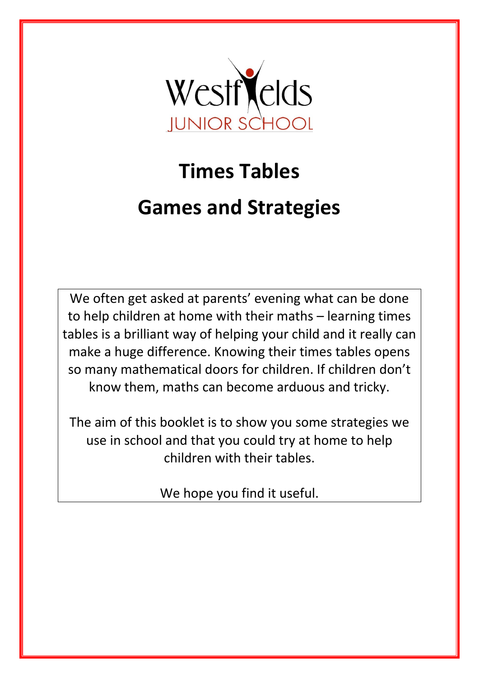

# **Times Tables Games and Strategies**

We often get asked at parents' evening what can be done to help children at home with their maths – learning times tables is a brilliant way of helping your child and it really can make a huge difference. Knowing their times tables opens so many mathematical doors for children. If children don't know them, maths can become arduous and tricky.

The aim of this booklet is to show you some strategies we use in school and that you could try at home to help children with their tables.

We hope you find it useful.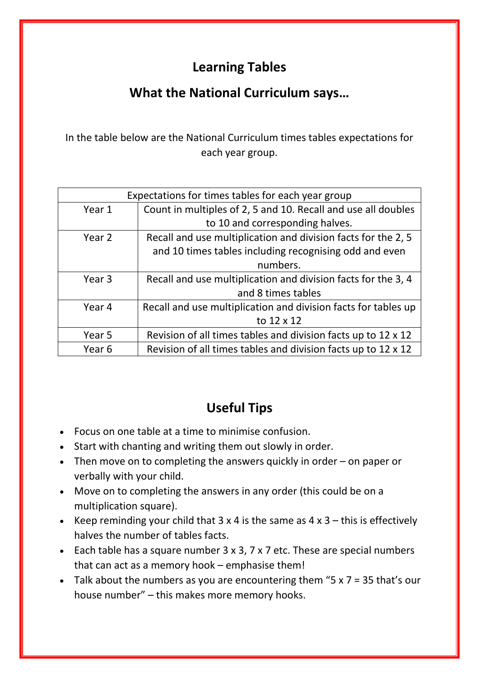# **Learning Tables**

# **What the National Curriculum says…**

In the table below are the National Curriculum times tables expectations for each year group.

| Expectations for times tables for each year group              |  |  |  |  |  |  |
|----------------------------------------------------------------|--|--|--|--|--|--|
| Count in multiples of 2, 5 and 10. Recall and use all doubles  |  |  |  |  |  |  |
| to 10 and corresponding halves.                                |  |  |  |  |  |  |
| Recall and use multiplication and division facts for the 2, 5  |  |  |  |  |  |  |
| and 10 times tables including recognising odd and even         |  |  |  |  |  |  |
| numbers.                                                       |  |  |  |  |  |  |
| Recall and use multiplication and division facts for the 3, 4  |  |  |  |  |  |  |
| and 8 times tables                                             |  |  |  |  |  |  |
| Recall and use multiplication and division facts for tables up |  |  |  |  |  |  |
| to 12 x 12                                                     |  |  |  |  |  |  |
| Revision of all times tables and division facts up to 12 x 12  |  |  |  |  |  |  |
| Revision of all times tables and division facts up to 12 x 12  |  |  |  |  |  |  |
|                                                                |  |  |  |  |  |  |

# **Useful Tips**

- Focus on one table at a time to minimise confusion.
- Start with chanting and writing them out slowly in order.
- Then move on to completing the answers quickly in order on paper or verbally with your child.
- Move on to completing the answers in any order (this could be on a multiplication square).
- Keep reminding your child that  $3 \times 4$  is the same as  $4 \times 3$  this is effectively halves the number of tables facts.
- Each table has a square number 3 x 3, 7 x 7 etc. These are special numbers that can act as a memory hook – emphasise them!
- Talk about the numbers as you are encountering them " $5 \times 7 = 35$  that's our house number" – this makes more memory hooks.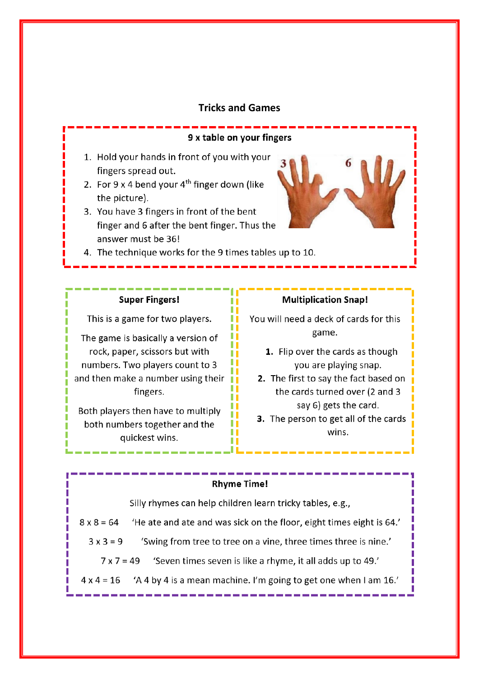## **Tricks and Games**

#### 9 x table on your fingers

H

H

. . Ш

ш

ш

H

. .

- 1. Hold your hands in front of you with your fingers spread out.
- 2. For  $9 \times 4$  bend your  $4^{th}$  finger down (like the picture).
- 3. You have 3 fingers in front of the bent finger and 6 after the bent finger. Thus the answer must be 36!
- 4. The technique works for the 9 times tables up to 10.

#### **Super Fingers!**

This is a game for two players.

The game is basically a version of rock, paper, scissors but with numbers. Two players count to 3 and then make a number using their  $\mathbf{u}$ fingers.

Both players then have to multiply both numbers together and the quickest wins.

#### **Multiplication Snap!**

You will need a deck of cards for this game.

- 1. Flip over the cards as though you are playing snap.
- 2. The first to say the fact based on the cards turned over (2 and 3 say 6) gets the card.
- 3. The person to get all of the cards wins.

#### **Rhyme Time!**

Silly rhymes can help children learn tricky tables, e.g.,

- $8 \times 8 = 64$ 'He ate and ate and was sick on the floor, eight times eight is 64.'
	- $3x3=9$ 'Swing from tree to tree on a vine, three times three is nine.'
		- $7 \times 7 = 49$ 'Seven times seven is like a rhyme, it all adds up to 49.'
- 'A 4 by 4 is a mean machine. I'm going to get one when I am 16.'  $4 \times 4 = 16$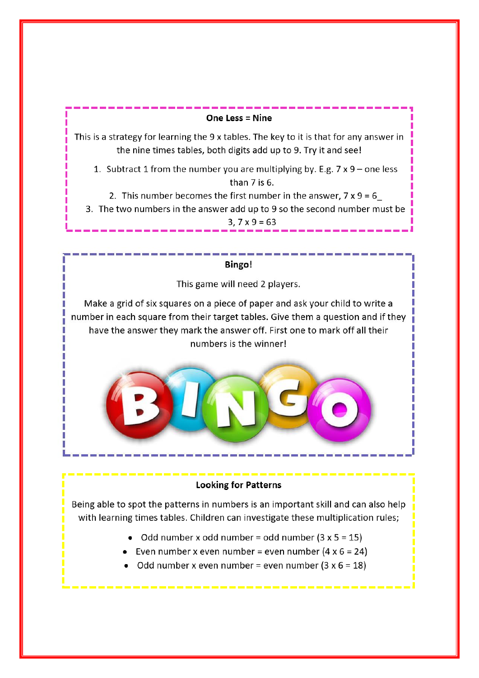## One Less = Nine

This is a strategy for learning the 9 x tables. The key to it is that for any answer in the nine times tables, both digits add up to 9. Try it and see!

1. Subtract 1 from the number you are multiplying by. E.g.  $7 \times 9$  – one less than  $7$  is  $6$ .

- 2. This number becomes the first number in the answer,  $7 \times 9 = 6$
- 3. The two numbers in the answer add up to 9 so the second number must be

 $3, 7x9 = 63$ 

# Bingo!

This game will need 2 players.

Make a grid of six squares on a piece of paper and ask your child to write a number in each square from their target tables. Give them a question and if they have the answer they mark the answer off. First one to mark off all their numbers is the winner!



# **Looking for Patterns**

Being able to spot the patterns in numbers is an important skill and can also help with learning times tables. Children can investigate these multiplication rules;

- Odd number x odd number = odd number  $(3 \times 5 = 15)$
- Even number x even number = even number  $(4 \times 6 = 24)$
- Odd number x even number = even number  $(3 \times 6 = 18)$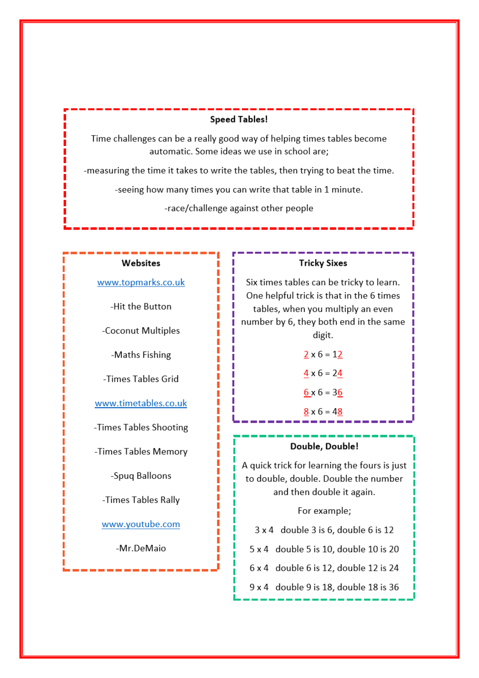# **Speed Tables!**

Time challenges can be a really good way of helping times tables become automatic. Some ideas we use in school are;

-measuring the time it takes to write the tables, then trying to beat the time.

-seeing how many times you can write that table in 1 minute.

-race/challenge against other people

#### Websites

www.topmarks.co.uk

-Hit the Button

-Coconut Multiples

-Maths Fishing

-Times Tables Grid

www.timetables.co.uk

-Times Tables Shooting

-Times Tables Memory

-Spuq Balloons

-Times Tables Rally

www.youtube.com

-Mr.DeMaio

#### **Tricky Sixes**

Six times tables can be tricky to learn. One helpful trick is that in the 6 times tables, when you multiply an even number by 6, they both end in the same digit.

> $2 \times 6 = 12$  $\frac{4}{5}$  x 6 = 24  $6 \times 6 = 36$

 $8 \times 6 = 48$ 

## Double, Double!

A quick trick for learning the fours is just to double, double. Double the number and then double it again.

For example;

3 x 4 double 3 is 6, double 6 is 12

5 x 4 double 5 is 10, double 10 is 20

6 x 4 double 6 is 12, double 12 is 24

9 x 4 double 9 is 18, double 18 is 36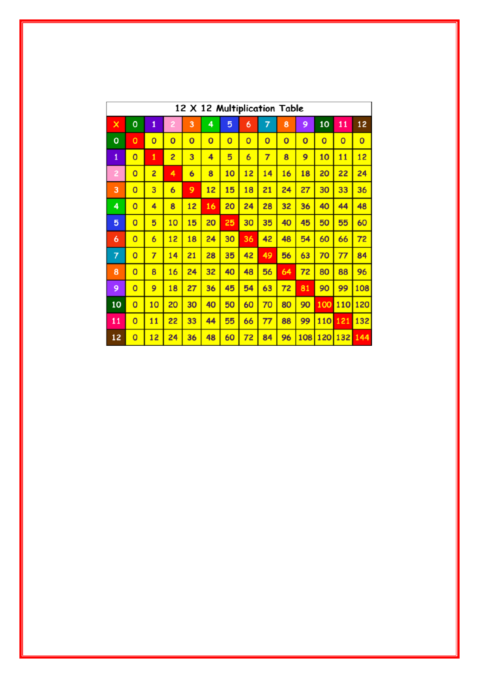| 12 X 12 Multiplication Table |                         |                         |                |                |                |                |                         |                |                |                |                |                |                |
|------------------------------|-------------------------|-------------------------|----------------|----------------|----------------|----------------|-------------------------|----------------|----------------|----------------|----------------|----------------|----------------|
| ×                            | $\mathbf{o}$            | $\overline{\mathbf{1}}$ | 2              | 3              | 4              | 5              | 6                       | 7              | 8              | 9              | 10             | 11             | 12             |
| O                            | $\mathbf{o}$            | $\overline{0}$          | $\overline{0}$ | $\overline{0}$ | $\overline{0}$ | $\overline{0}$ | $\overline{\mathbf{o}}$ | $\overline{0}$ | $\overline{0}$ | $\overline{0}$ | $\overline{0}$ | $\overline{0}$ | $\overline{0}$ |
| $\mathbf{1}$                 | $\overline{\mathbf{o}}$ | 1                       | 2              | 3              | 4              | 5              | $\overline{6}$          | $\overline{7}$ | 8              | 9              | 10             | 11             | 12             |
| 2                            | $\overline{0}$          | $\overline{2}$          | 4              | $\overline{6}$ | 8              | 10             | 12                      | 14             | 16             | 18             | 20             | 22             | 24             |
| 3                            | $\overline{0}$          | 3                       | $\overline{6}$ | 9              | 12             | 15             | 18                      | 21             | 24             | 27             | 30             | 33             | 36             |
| 4                            | $\overline{0}$          | 4                       | 8              | 12             | 16             | 20             | 24                      | 28             | 32             | 36             | 40             | 44             | 48             |
| 5                            | $\overline{0}$          | 5                       | 10             | 15             | 20             | 25             | 30                      | 35             | 40             | 45             | 50             | 55             | 60             |
| 6                            | $\overline{0}$          | $\overline{6}$          | 12             | 18             | 24             | 30             | 36                      | 42             | 48             | 54             | 60             | 66             | 72             |
| 7                            | $\overline{0}$          | $\overline{7}$          | 14             | 21             | 28             | 35             | 42                      | 49             | 56             | 63             | 70             | 77             | 84             |
| 8                            | $\overline{0}$          | 8                       | 16             | 24             | 32             | 40             | 48                      | 56             | 64             | 72             | 80             | 88             | 96             |
| 9                            | $\overline{0}$          | 9                       | 18             | 27             | 36             | 45             | 54                      | 63             | 72             | 81             | 90             | 99             | 108            |
| 10                           | $\overline{0}$          | 10                      | 20             | 30             | 40             | 50             | 60                      | 70             | 80             | 90             | 100            | 110            | 120            |
| 11                           | $\overline{0}$          | 11                      | 22             | 33             | 44             | 55             | 66                      | 77             | 88             | 99             | 110            | 121            | 132            |
| 12                           | $\overline{0}$          | 12                      | 24             | 36             | 48             | 60             | 72                      | 84             | 96             | 108            | 120            | 132            | 144            |